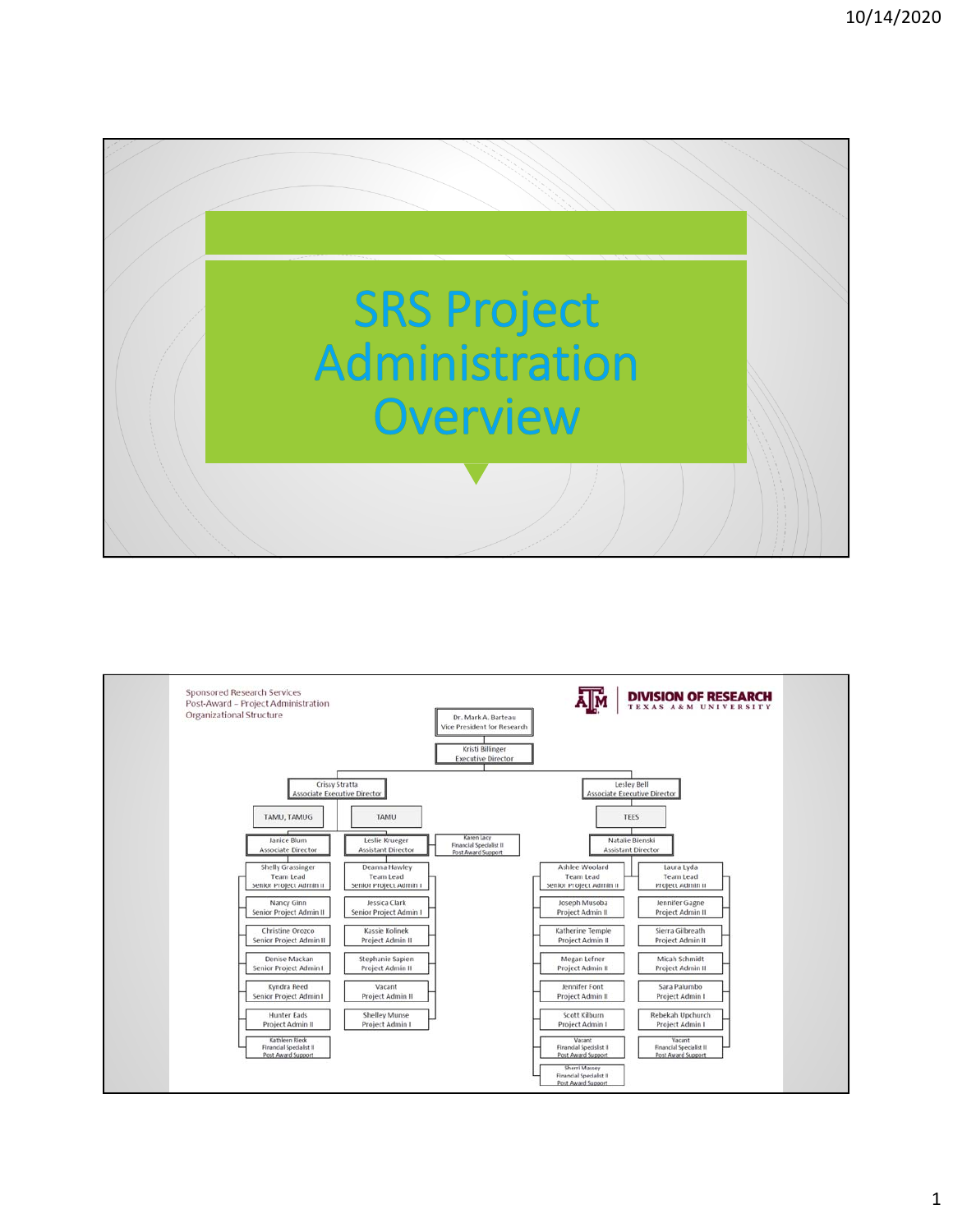

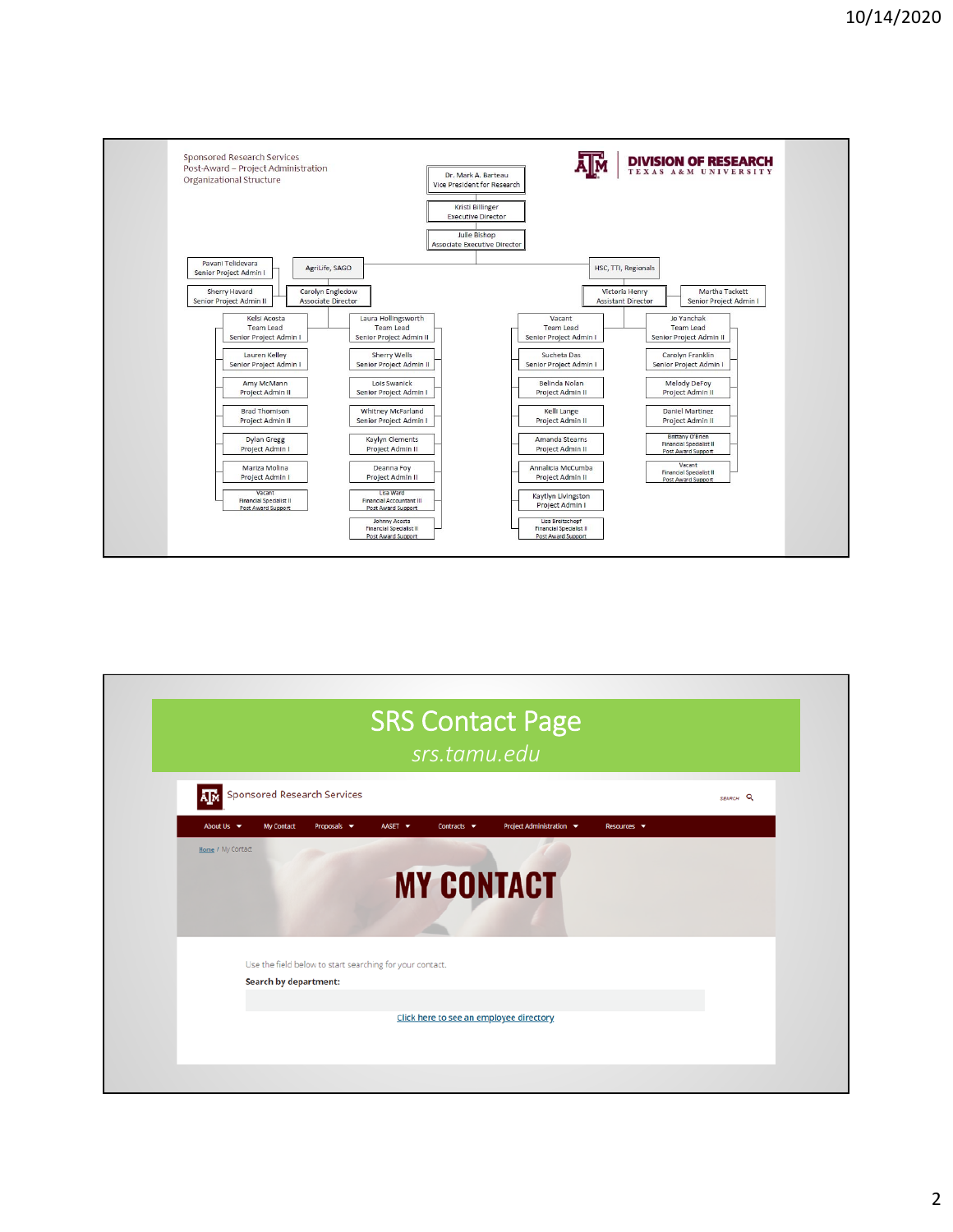

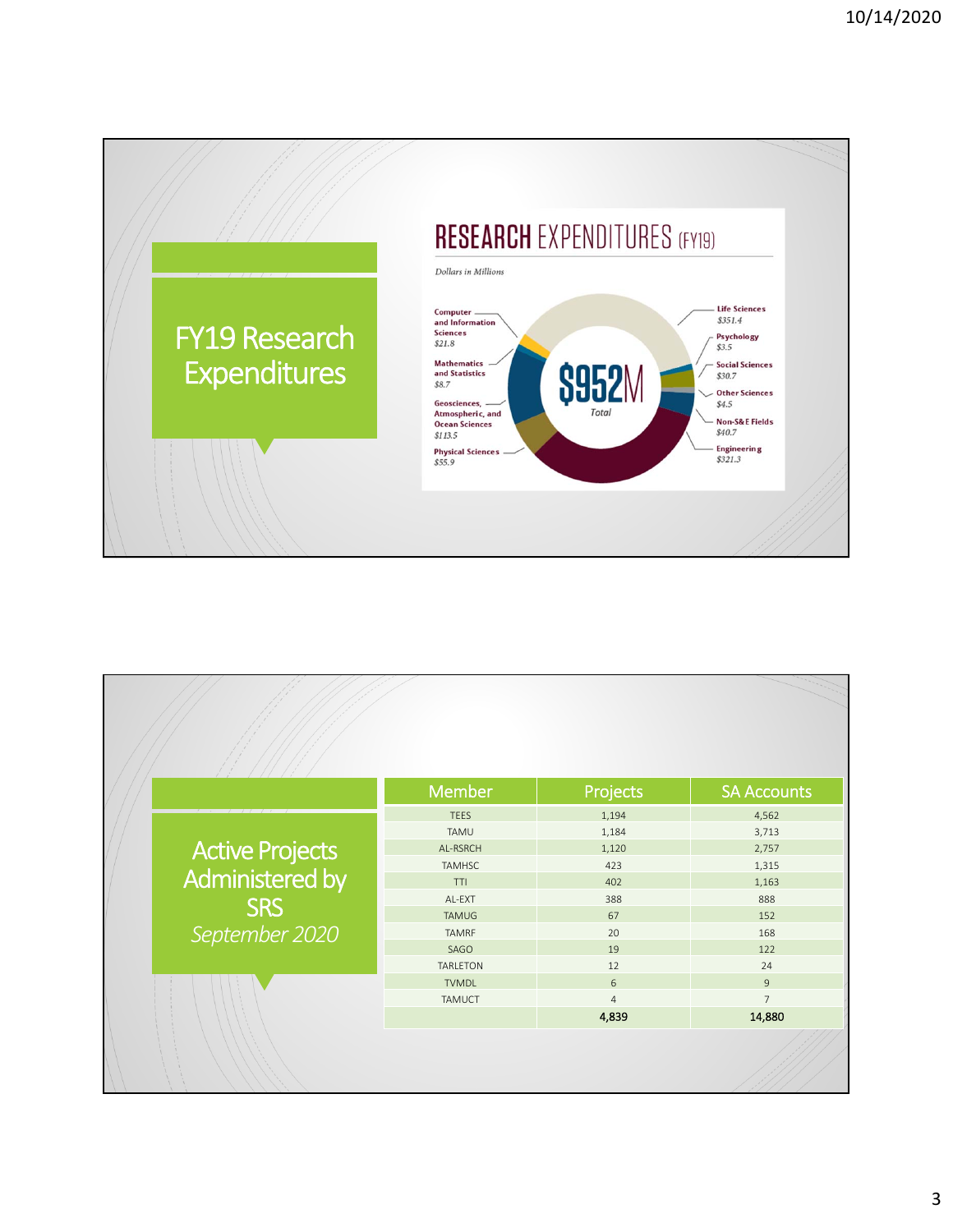

|                                    | <b>Member</b>   | Projects       | <b>SA Accounts</b> |
|------------------------------------|-----------------|----------------|--------------------|
| Active Projects<br>Administered by | <b>TEES</b>     | 1,194          | 4,562              |
|                                    | TAMU            | 1,184          | 3,713              |
|                                    | AL-RSRCH        | 1,120          | 2,757              |
|                                    | <b>TAMHSC</b>   | 423            | 1,315              |
|                                    | TTI             | 402            | 1,163              |
| <b>SRS</b>                         | AL-EXT          | 388            | 888                |
|                                    | <b>TAMUG</b>    | 67             | 152                |
| September 2020                     | <b>TAMRF</b>    | 20             | 168                |
|                                    | SAGO            | 19             | 122                |
|                                    | <b>TARLETON</b> | 12             | 24                 |
|                                    | <b>TVMDL</b>    | 6              | $\overline{9}$     |
|                                    | TAMUCT          | $\overline{4}$ | $\overline{7}$     |
|                                    |                 | 4,839          | 14,880             |
|                                    |                 |                |                    |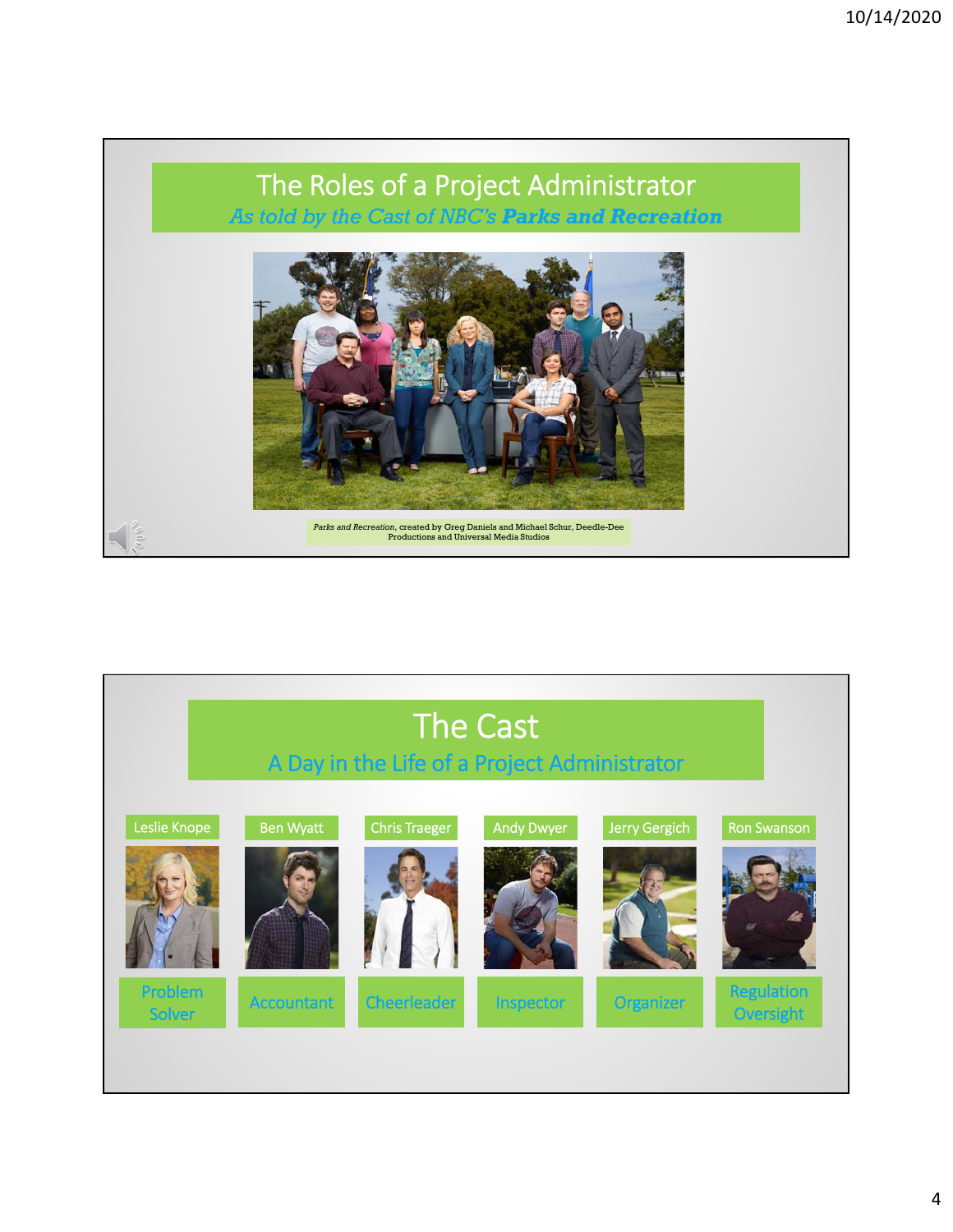

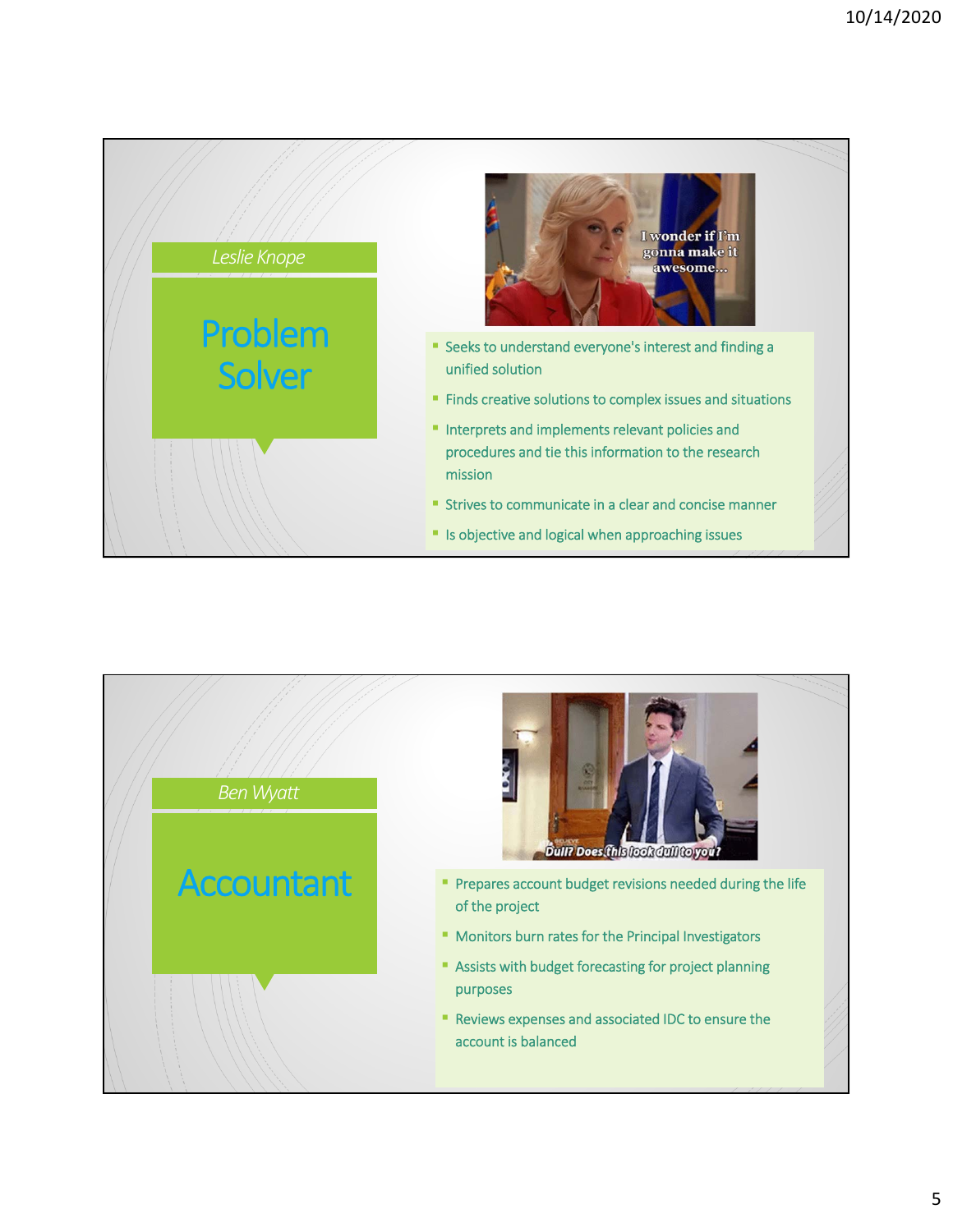

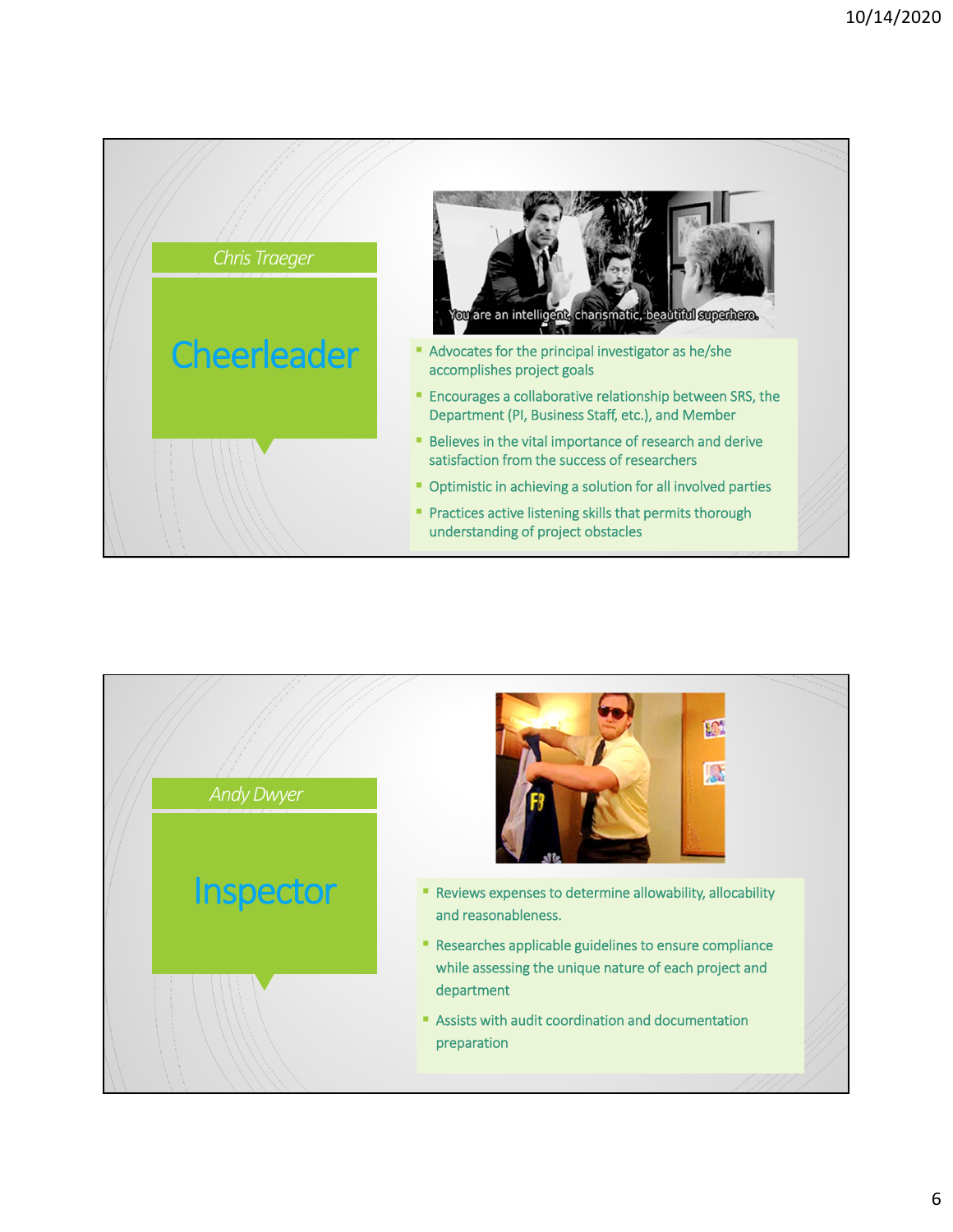

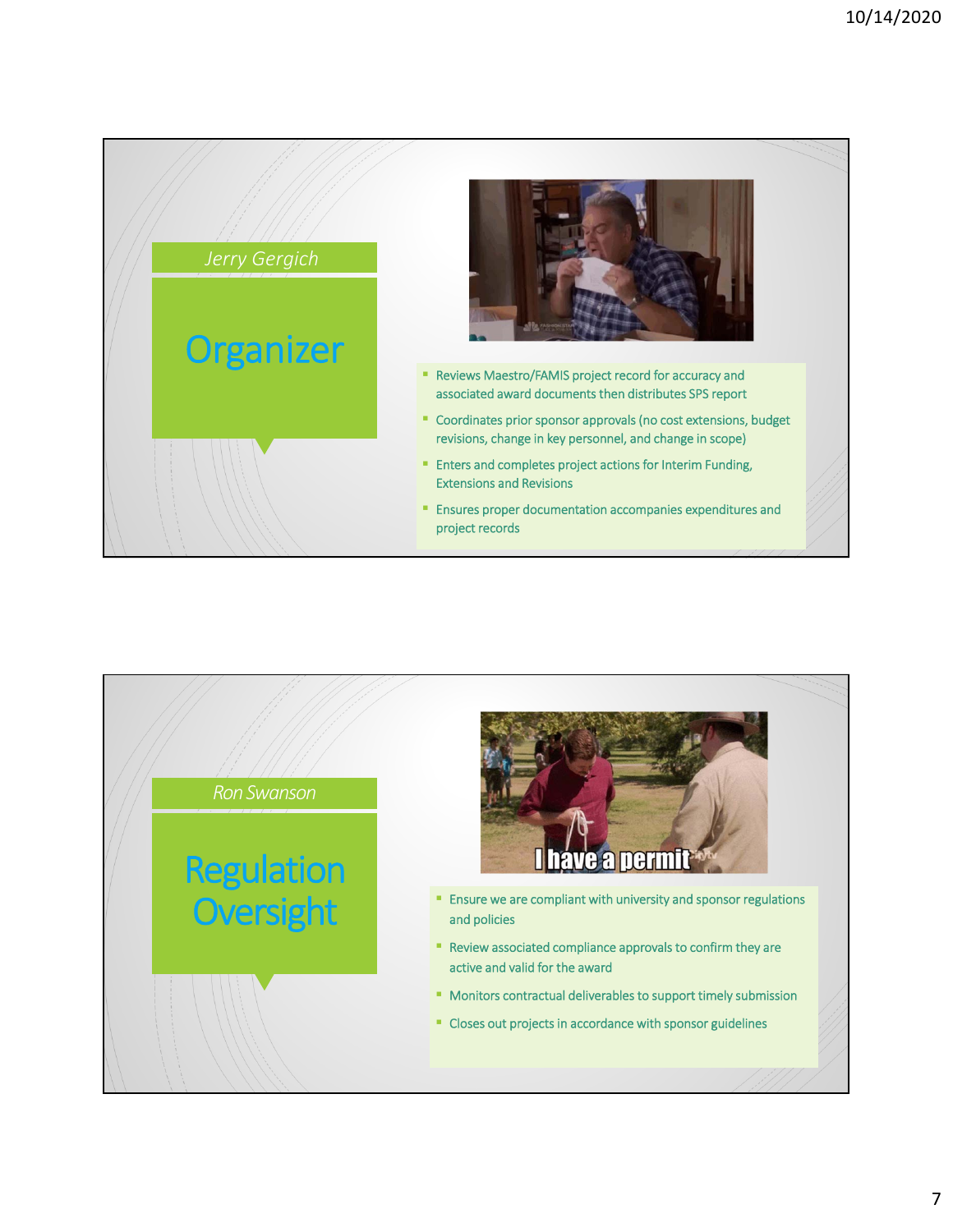